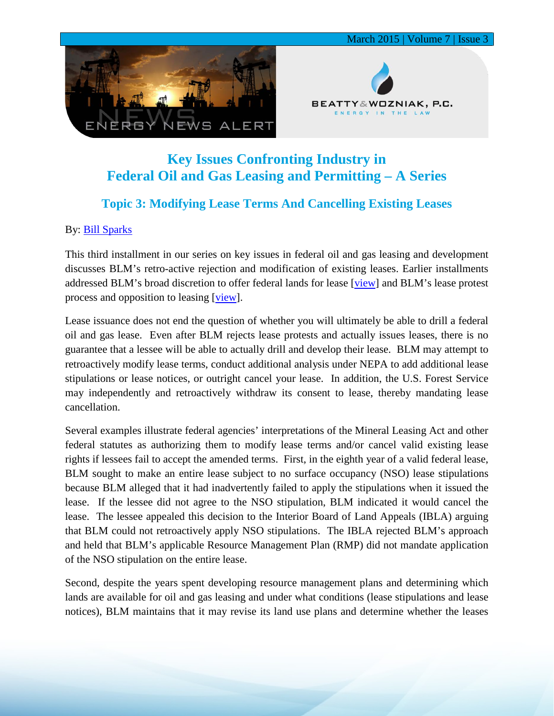



March 2015 | Volume 7 | Issue 3

## **Key Issues Confronting Industry in Federal Oil and Gas Leasing and Permitting – A Series**

## **Topic 3: Modifying Lease Terms And Cancelling Existing Leases**

## By: [Bill Sparks](http://www.bwenergylaw.com/#!william-sparks/c1ynl)

This third installment in our series on key issues in federal oil and gas leasing and development discusses BLM's retro-active rejection and modification of existing leases. Earlier installments addressed BLM's broad discretion to offer federal lands for lease [\[view\]](http://media.wix.com/ugd/2f2374_7e8c2530d05043c7bfa4209523f17c69.pdf) and BLM's lease protest process and opposition to leasing [\[view\]](http://media.wix.com/ugd/2f2374_f27c90dd4e944c5694ac583ab21e911d.pdf).

Lease issuance does not end the question of whether you will ultimately be able to drill a federal oil and gas lease. Even after BLM rejects lease protests and actually issues leases, there is no guarantee that a lessee will be able to actually drill and develop their lease. BLM may attempt to retroactively modify lease terms, conduct additional analysis under NEPA to add additional lease stipulations or lease notices, or outright cancel your lease. In addition, the U.S. Forest Service may independently and retroactively withdraw its consent to lease, thereby mandating lease cancellation.

Several examples illustrate federal agencies' interpretations of the Mineral Leasing Act and other federal statutes as authorizing them to modify lease terms and/or cancel valid existing lease rights if lessees fail to accept the amended terms. First, in the eighth year of a valid federal lease, BLM sought to make an entire lease subject to no surface occupancy (NSO) lease stipulations because BLM alleged that it had inadvertently failed to apply the stipulations when it issued the lease. If the lessee did not agree to the NSO stipulation, BLM indicated it would cancel the lease. The lessee appealed this decision to the Interior Board of Land Appeals (IBLA) arguing that BLM could not retroactively apply NSO stipulations. The IBLA rejected BLM's approach and held that BLM's applicable Resource Management Plan (RMP) did not mandate application of the NSO stipulation on the entire lease.

Second, despite the years spent developing resource management plans and determining which lands are available for oil and gas leasing and under what conditions (lease stipulations and lease notices), BLM maintains that it may revise its land use plans and determine whether the leases